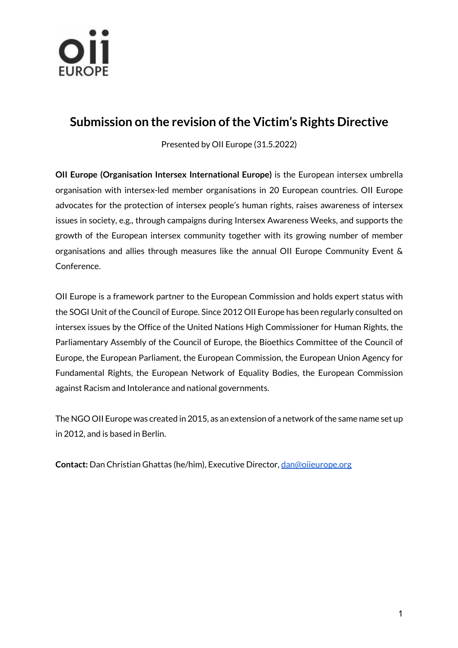

# **Submission on the revision of the Victim's Rights Directive**

Presented by OII Europe (31.5.2022)

**OII Europe (Organisation Intersex International Europe)** is the European intersex umbrella organisation with intersex-led member organisations in 20 European countries. OII Europe advocates for the protection of intersex people's human rights, raises awareness of intersex issues in society, e.g., through campaigns during Intersex Awareness Weeks, and supports the growth of the European intersex community together with its growing number of member organisations and allies through measures like the annual OII Europe Community Event & Conference.

OII Europe is a framework partner to the European Commission and holds expert status with the SOGI Unit of the Council of Europe. Since 2012 OII Europe has been regularly consulted on intersex issues by the Office of the United Nations High Commissioner for Human Rights, the Parliamentary Assembly of the Council of Europe, the Bioethics Committee of the Council of Europe, the European Parliament, the European Commission, the European Union Agency for Fundamental Rights, the European Network of Equality Bodies, the European Commission against Racism and Intolerance and national governments.

The NGO OII Europe was created in 2015, as an extension of a network of the same name set up in 2012, and is based in Berlin.

**Contact:** Dan Christian Ghattas (he/him), Executive Director, dan@oiieurope.org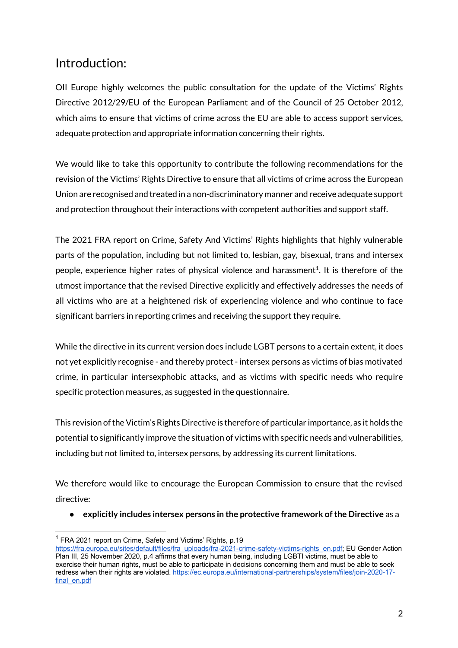# Introduction:

OII Europe highly welcomes the public consultation for the update of the Victims' Rights Directive 2012/29/EU of the European Parliament and of the Council of 25 October 2012, which aims to ensure that victims of crime across the EU are able to access support services, adequate protection and appropriate information concerning their rights.

We would like to take this opportunity to contribute the following recommendations for the revision of the Victims' Rights Directive to ensure that all victims of crime across the European Union are recognised and treated in a non-discriminatory manner and receive adequate support and protection throughout their interactions with competent authorities and support staff.

The 2021 FRA report on Crime, Safety And Victims' Rights highlights that highly vulnerable parts of the population, including but not limited to, lesbian, gay, bisexual, trans and intersex people, experience higher rates of physical violence and harassment<sup>1</sup>. It is therefore of the utmost importance that the revised Directive explicitly and effectively addresses the needs of all victims who are at a heightened risk of experiencing violence and who continue to face significant barriers in reporting crimes and receiving the support they require.

While the directive in its current version does include LGBT persons to a certain extent, it does not yet explicitly recognise - and thereby protect - intersex persons as victims of bias motivated crime, in particular intersexphobic attacks, and as victims with specific needs who require specific protection measures, as suggested in the questionnaire.

This revision of the Victim's Rights Directive is therefore of particular importance, as it holds the potential to significantly improve the situation of victims with specific needs and vulnerabilities, including but not limited to, intersex persons, by addressing its current limitations.

We therefore would like to encourage the European Commission to ensure that the revised directive:

● **explicitly includes intersex persons in the protective framework of the Directive** as a

 $1$  FRA 2021 report on Crime, Safety and Victims' Rights, p.19

https://fra.europa.eu/sites/default/files/fra\_uploads/fra-2021-crime-safety-victims-rights\_en.pdf; EU Gender Action Plan III, 25 November 2020, p.4 affirms that every human being, including LGBTI victims, must be able to exercise their human rights, must be able to participate in decisions concerning them and must be able to seek redress when their rights are violated. https://ec.europa.eu/international-partnerships/system/files/join-2020-17final\_en.pdf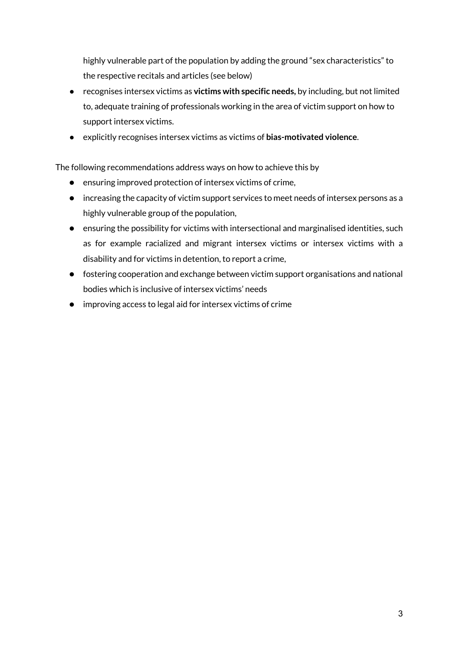highly vulnerable part of the population by adding the ground "sex characteristics" to the respective recitals and articles (see below)

- recognises intersex victims as **victims with specific needs,** by including, but not limited to, adequate training of professionals working in the area of victim support on how to support intersex victims.
- explicitly recognises intersex victims as victims of **bias-motivated violence**.

The following recommendations address ways on how to achieve this by

- ensuring improved protection of intersex victims of crime,
- increasing the capacity of victim support services to meet needs of intersex persons as a highly vulnerable group of the population,
- ensuring the possibility for victims with intersectional and marginalised identities, such as for example racialized and migrant intersex victims or intersex victims with a disability and for victims in detention, to report a crime,
- fostering cooperation and exchange between victim support organisations and national bodies which is inclusive of intersex victims' needs
- improving access to legal aid for intersex victims of crime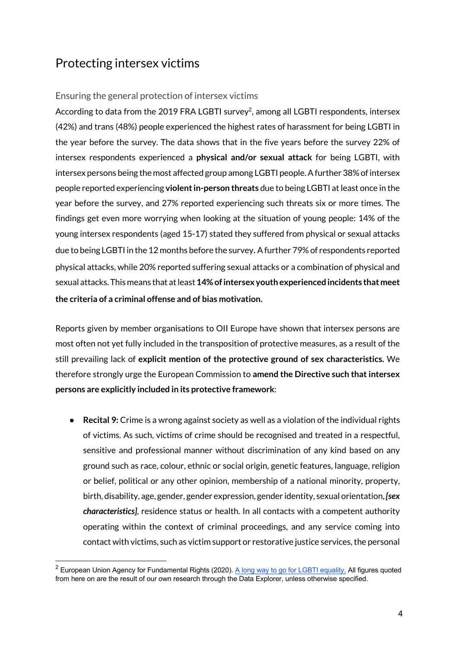## Protecting intersex victims

## Ensuring the general protection of intersex victims

According to data from the 2019 FRA LGBTI survey<sup>2</sup>, among all LGBTI respondents, intersex (42%) and trans (48%) people experienced the highest rates of harassment for being LGBTI in the year before the survey. The data shows that in the five years before the survey 22% of intersex respondents experienced a **physical and/or sexual attack** for being LGBTI, with intersex persons being the most affected group among LGBTI people. A further 38% of intersex people reported experiencing **violent in-person threats** due to being LGBTI at least once in the year before the survey, and 27% reported experiencing such threats six or more times. The findings get even more worrying when looking at the situation of young people: 14% of the young intersex respondents (aged 15-17) stated they suffered from physical or sexual attacks due to being LGBTI in the 12 months before the survey. A further 79% of respondents reported physical attacks, while 20% reported suffering sexual attacks or a combination of physical and sexual attacks. This means that at least**14% of intersex youth experienced incidents that meet the criteria of a criminal offense and of bias motivation**.

Reports given by member organisations to OII Europe have shown that intersex persons are most often not yet fully included in the transposition of protective measures, as a result of the still prevailing lack of **explicit mention of the protective ground of sex characteristics.** We therefore strongly urge the European Commission to **amend the Directive such that intersex persons are explicitly included in its protective framework**:

● **Recital 9:** Crime is a wrong against society as well as a violation of the individual rights of victims. As such, victims of crime should be recognised and treated in a respectful, sensitive and professional manner without discrimination of any kind based on any ground such as race, colour, ethnic or social origin, genetic features, language, religion or belief, political or any other opinion, membership of a national minority, property, birth, disability, age, gender, gender expression, gender identity, sexual orientation, *[sex characteristics]*, residence status or health. In all contacts with a competent authority operating within the context of criminal proceedings, and any service coming into contact with victims, such as victim support or restorative justice services, the personal

<sup>&</sup>lt;sup>2</sup> European Union Agency for Fundamental Rights (2020). A long way to go for LGBTI equality, All figures quoted from here on are the result of our own research through the Data Explorer, unless otherwise specified.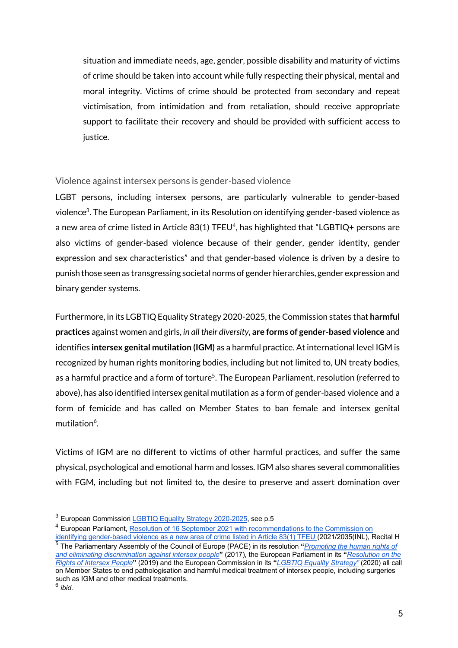situation and immediate needs, age, gender, possible disability and maturity of victims of crime should be taken into account while fully respecting their physical, mental and moral integrity. Victims of crime should be protected from secondary and repeat victimisation, from intimidation and from retaliation, should receive appropriate support to facilitate their recovery and should be provided with sufficient access to justice.

### Violence against intersex persons is gender-based violence

LGBT persons, including intersex persons, are particularly vulnerable to gender-based violence3. The European Parliament, in its Resolution on identifying gender-based violence as a new area of crime listed in Article 83(1) TFEU<sup>4</sup>, has highlighted that "LGBTIQ+ persons are also victims of gender-based violence because of their gender, gender identity, gender expression and sex characteristics" and that gender-based violence is driven by a desire to punish those seen as transgressing societal norms of gender hierarchies, gender expression and binary gender systems.

Furthermore, in its LGBTIQ Equality Strategy 2020-2025, the Commission states that **harmful practices** against women and girls, *in all their diversity*, **are forms of gender-based violence** and identifies **intersex genital mutilation (IGM)** as a harmful practice. At international level IGM is recognized by human rights monitoring bodies, including but not limited to, UN treaty bodies, as a harmful practice and a form of torture<sup>5</sup>. The European Parliament, resolution (referred to above), has also identified intersex genital mutilation as a form of gender-based violence and a form of femicide and has called on Member States to ban female and intersex genital mutilation<sup>6</sup>.

Victims of IGM are no different to victims of other harmful practices, and suffer the same physical, psychological and emotional harm and losses. IGM also shares several commonalities with FGM, including but not limited to, the desire to preserve and assert domination over

<sup>4</sup> European Parliament, Resolution of 16 September 2021 with recommendations to the Commission on identifying gender-based violence as a new area of crime listed in Article 83(1) TFEU (2021/2035(INL), Recital H

<sup>&</sup>lt;sup>3</sup> European Commission LGBTIQ Equality Strategy 2020-2025, see p.5

<sup>5</sup> The Parliamentary Assembly of the Council of Europe (PACE) in its resolution **"***Promoting the human rights of and eliminating discrimination against intersex people***"** (2017), the European Parliament in its **"***Resolution on the Rights of Intersex People***"** (2019) and the European Commission in its **"***LGBTIQ Equality Strategy"* (2020) all call on Member States to end pathologisation and harmful medical treatment of intersex people, including surgeries such as IGM and other medical treatments. <sup>6</sup> *ibid.*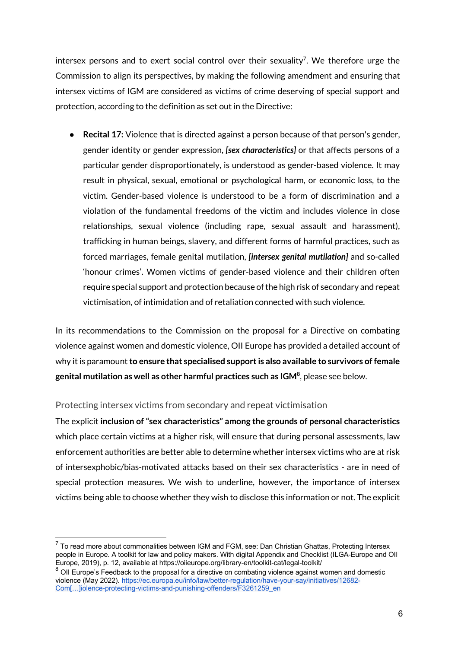intersex persons and to exert social control over their sexuality<sup>7</sup>. We therefore urge the Commission to align its perspectives, by making the following amendment and ensuring that intersex victims of IGM are considered as victims of crime deserving of special support and protection, according to the definition as set out in the Directive:

● **Recital 17:** Violence that is directed against a person because of that person's gender, gender identity or gender expression, *[sex characteristics]* or that affects persons of a particular gender disproportionately, is understood as gender-based violence. It may result in physical, sexual, emotional or psychological harm, or economic loss, to the victim. Gender-based violence is understood to be a form of discrimination and a violation of the fundamental freedoms of the victim and includes violence in close relationships, sexual violence (including rape, sexual assault and harassment), trafficking in human beings, slavery, and different forms of harmful practices, such as forced marriages, female genital mutilation, *[intersex genital mutilation]* and so-called 'honour crimes'. Women victims of gender-based violence and their children often require special support and protection because of the high risk of secondary and repeat victimisation, of intimidation and of retaliation connected with such violence.

In its recommendations to the Commission on the proposal for a Directive on combating violence against women and domestic violence, OII Europe has provided a detailed account of why it is paramount **to ensure that specialised support is also available to survivors of female genital mutilation as well as other harmful practices such as IGM<sup>8</sup>, please see below.** 

#### Protecting intersex victims from secondary and repeat victimisation

The explicit **inclusion of "sex characteristics" among the grounds of personal characteristics** which place certain victims at a higher risk, will ensure that during personal assessments, law enforcement authorities are better able to determine whether intersex victims who are at risk of intersexphobic/bias-motivated attacks based on their sex characteristics - are in need of special protection measures. We wish to underline, however, the importance of intersex victims being able to choose whether they wish to disclose this information or not. The explicit

 $7$  To read more about commonalities between IGM and FGM, see: Dan Christian Ghattas, Protecting Intersex people in Europe. A toolkit for law and policy makers. With digital Appendix and Checklist (ILGA-Europe and OII Europe, 2019), p. 12, available at https://oiieurope.org/library-en/toolkit-cat/legal-toolkit/

 $8$  OII Europe's Feedback to the proposal for a directive on combating violence against women and domestic violence (May 2022). https://ec.europa.eu/info/law/better-regulation/have-your-say/initiatives/12682- Com[…]iolence-protecting-victims-and-punishing-offenders/F3261259\_en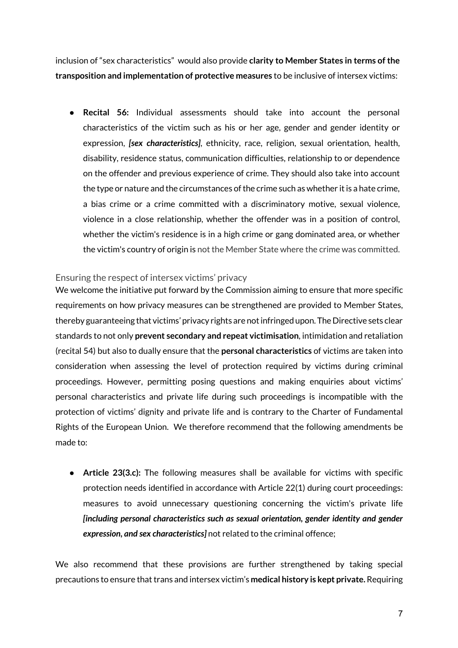inclusion of "sex characteristics" would also provide **clarity to Member States in terms of the transposition and implementation of protective measures** to be inclusive of intersex victims:

● **Recital 56:** Individual assessments should take into account the personal characteristics of the victim such as his or her age, gender and gender identity or expression, *[sex characteristics]*, ethnicity, race, religion, sexual orientation, health, disability, residence status, communication difficulties, relationship to or dependence on the offender and previous experience of crime. They should also take into account the type or nature and the circumstances of the crime such as whether it is a hate crime, a bias crime or a crime committed with a discriminatory motive, sexual violence, violence in a close relationship, whether the offender was in a position of control, whether the victim's residence is in a high crime or gang dominated area, or whether the victim's country of origin is not the Member State where the crime was committed.

#### Ensuring the respect of intersex victims' privacy

We welcome the initiative put forward by the Commission aiming to ensure that more specific requirements on how privacy measures can be strengthened are provided to Member States, thereby guaranteeing that victims' privacy rights are not infringed upon. The Directive sets clear standards to not only **prevent secondary and repeat victimisation**, intimidation and retaliation (recital 54) but also to dually ensure that the **personal characteristics** of victims are taken into consideration when assessing the level of protection required by victims during criminal proceedings. However, permitting posing questions and making enquiries about victims' personal characteristics and private life during such proceedings is incompatible with the protection of victims' dignity and private life and is contrary to the Charter of Fundamental Rights of the European Union. We therefore recommend that the following amendments be made to:

● **Article 23(3.c):** The following measures shall be available for victims with specific protection needs identified in accordance with Article 22(1) during court proceedings: measures to avoid unnecessary questioning concerning the victim's private life *[including personal characteristics such as sexual orientation, gender identity and gender expression, and sex characteristics]* not related to the criminal offence;

We also recommend that these provisions are further strengthened by taking special precautions to ensure that trans and intersex victim's **medical history is kept private.** Requiring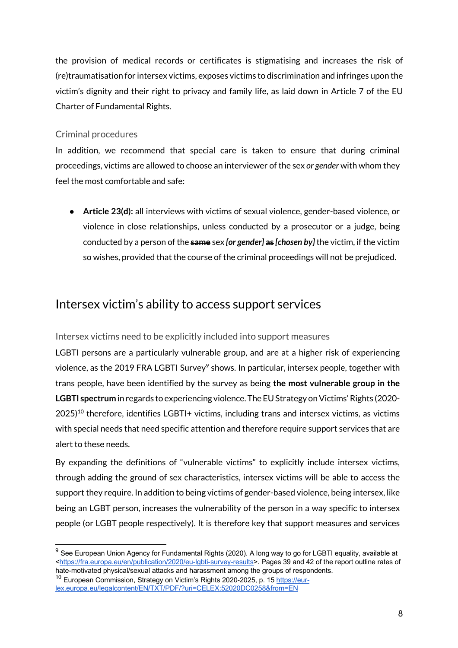the provision of medical records or certificates is stigmatising and increases the risk of (re)traumatisation for intersex victims, exposes victims to discrimination and infringes upon the victim's dignity and their right to privacy and family life, as laid down in Article 7 of the EU Charter of Fundamental Rights.

### Criminal procedures

In addition, we recommend that special care is taken to ensure that during criminal proceedings, victims are allowed to choose an interviewer of the sex *or gender* with whom they feel the most comfortable and safe:

● **Article 23(d):** all interviews with victims of sexual violence, gender-based violence, or violence in close relationships, unless conducted by a prosecutor or a judge, being conducted by a person of the **same** sex *[or gender]* **as** *[chosen by]* the victim, if the victim so wishes, provided that the course of the criminal proceedings will not be prejudiced.

## Intersex victim's ability to access support services

### Intersex victims need to be explicitly included into support measures

LGBTI persons are a particularly vulnerable group, and are at a higher risk of experiencing violence, as the 2019 FRA LGBTI Survey<sup>9</sup> shows. In particular, intersex people, together with trans people, have been identified by the survey as being **the most vulnerable group in the LGBTI spectrum** in regards to experiencing violence. The EU Strategy on Victims' Rights (2020-  $2025$ <sup>10</sup> therefore, identifies LGBTI+ victims, including trans and intersex victims, as victims with special needs that need specific attention and therefore require support services that are alert to these needs.

By expanding the definitions of "vulnerable victims" to explicitly include intersex victims, through adding the ground of sex characteristics, intersex victims will be able to access the support they require. In addition to being victims of gender-based violence, being intersex, like being an LGBT person, increases the vulnerability of the person in a way specific to intersex people (or LGBT people respectively). It is therefore key that support measures and services

 $9$  See European Union Agency for Fundamental Rights (2020). A long way to go for LGBTI equality, available at <https://fra.europa.eu/en/publication/2020/eu-lgbti-survey-results>. Pages 39 and 42 of the report outline rates of hate-motivated physical/sexual attacks and harassment among the groups of respondents.

<sup>&</sup>lt;sup>10</sup> European Commission, Strategy on Victim's Rights 2020-2025, p. 15 https://eurlex.europa.eu/legalcontent/EN/TXT/PDF/?uri=CELEX:52020DC0258&from=EN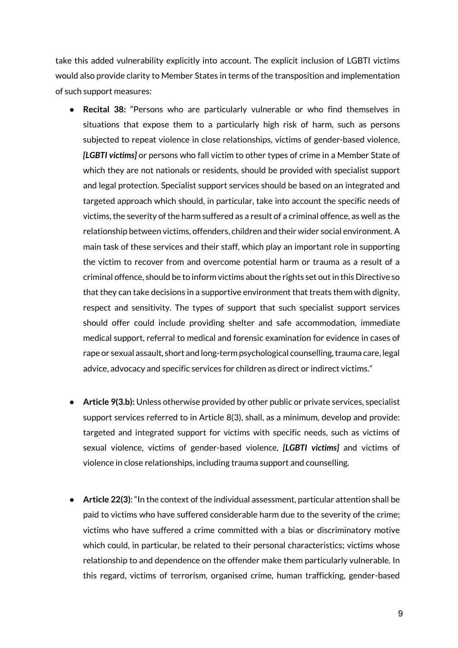take this added vulnerability explicitly into account. The explicit inclusion of LGBTI victims would also provide clarity to Member States in terms of the transposition and implementation of such support measures:

- **Recital 38:** "Persons who are particularly vulnerable or who find themselves in situations that expose them to a particularly high risk of harm, such as persons subjected to repeat violence in close relationships, victims of gender-based violence, *[LGBTI victims]* or persons who fall victim to other types of crime in a Member State of which they are not nationals or residents, should be provided with specialist support and legal protection. Specialist support services should be based on an integrated and targeted approach which should, in particular, take into account the specific needs of victims, the severity of the harm suffered as a result of a criminal offence, as well as the relationship between victims, offenders, children and their wider social environment. A main task of these services and their staff, which play an important role in supporting the victim to recover from and overcome potential harm or trauma as a result of a criminal offence, should be to inform victims about the rights set out in this Directive so that they can take decisions in a supportive environment that treats them with dignity, respect and sensitivity. The types of support that such specialist support services should offer could include providing shelter and safe accommodation, immediate medical support, referral to medical and forensic examination for evidence in cases of rape or sexual assault, short and long-term psychological counselling, trauma care, legal advice, advocacy and specific services for children as direct or indirect victims."
- **Article 9(3.b):** Unless otherwise provided by other public or private services, specialist support services referred to in Article 8(3), shall, as a minimum, develop and provide: targeted and integrated support for victims with specific needs, such as victims of sexual violence, victims of gender-based violence, *[LGBTI victims]* and victims of violence in close relationships, including trauma support and counselling.
- Article 22(3): "In the context of the individual assessment, particular attention shall be paid to victims who have suffered considerable harm due to the severity of the crime; victims who have suffered a crime committed with a bias or discriminatory motive which could, in particular, be related to their personal characteristics; victims whose relationship to and dependence on the offender make them particularly vulnerable. In this regard, victims of terrorism, organised crime, human trafficking, gender-based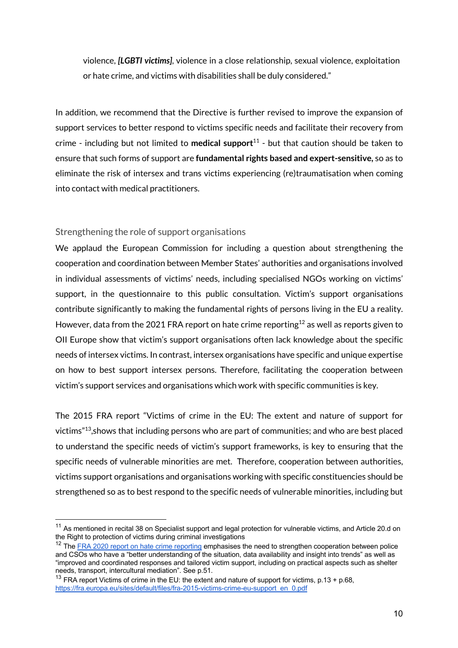violence, *[LGBTI victims]*, violence in a close relationship, sexual violence, exploitation or hate crime, and victims with disabilities shall be duly considered."

In addition, we recommend that the Directive is further revised to improve the expansion of support services to better respond to victims specific needs and facilitate their recovery from crime - including but not limited to **medical support**<sup>11</sup> - but that caution should be taken to ensure that such forms of support are **fundamental rights based and expert-sensitive,** so as to eliminate the risk of intersex and trans victims experiencing (re)traumatisation when coming into contact with medical practitioners.

### Strengthening the role of support organisations

We applaud the European Commission for including a question about strengthening the cooperation and coordination between Member States' authorities and organisations involved in individual assessments of victims' needs, including specialised NGOs working on victims' support, in the questionnaire to this public consultation. Victim's support organisations contribute significantly to making the fundamental rights of persons living in the EU a reality. However, data from the 2021 FRA report on hate crime reporting<sup>12</sup> as well as reports given to OII Europe show that victim's support organisations often lack knowledge about the specific needs of intersex victims. In contrast, intersex organisations have specific and unique expertise on how to best support intersex persons. Therefore, facilitating the cooperation between victim's support services and organisations which work with specific communities is key.

The 2015 FRA report "Victims of crime in the EU: The extent and nature of support for victims"13,shows that including persons who are part of communities; and who are best placed to understand the specific needs of victim's support frameworks, is key to ensuring that the specific needs of vulnerable minorities are met. Therefore, cooperation between authorities, victims support organisations and organisations working with specific constituencies should be strengthened so as to best respond to the specific needs of vulnerable minorities, including but

<sup>&</sup>lt;sup>11</sup> As mentioned in recital 38 on Specialist support and legal protection for vulnerable victims, and Article 20.d on the Right to protection of victims during criminal investigations

<sup>&</sup>lt;sup>12</sup> The FRA 2020 report on hate crime reporting emphasises the need to strengthen cooperation between police and CSOs who have a "better understanding of the situation, data availability and insight into trends" as well as "improved and coordinated responses and tailored victim support, including on practical aspects such as shelter needs, transport, intercultural mediation". See p.51.

<sup>&</sup>lt;sup>13</sup> FRA report Victims of crime in the EU: the extent and nature of support for victims,  $p.13 + p.68$ , https://fra.europa.eu/sites/default/files/fra-2015-victims-crime-eu-support\_en\_0.pdf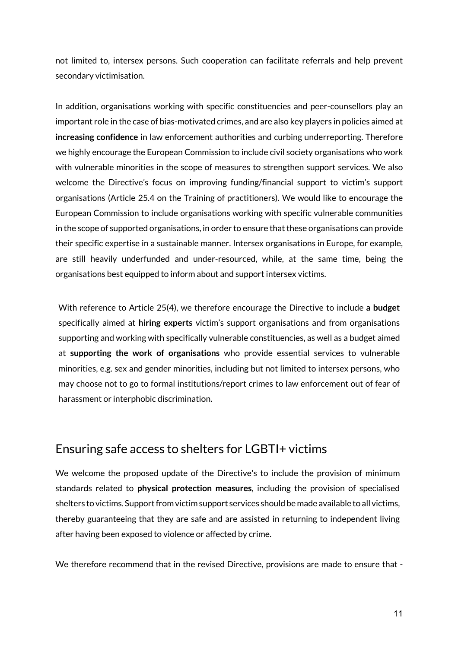not limited to, intersex persons. Such cooperation can facilitate referrals and help prevent secondary victimisation.

In addition, organisations working with specific constituencies and peer-counsellors play an important role in the case of bias-motivated crimes, and are also key players in policies aimed at **increasing confidence** in law enforcement authorities and curbing underreporting. Therefore we highly encourage the European Commission to include civil society organisations who work with vulnerable minorities in the scope of measures to strengthen support services. We also welcome the Directive's focus on improving funding/financial support to victim's support organisations (Article 25.4 on the Training of practitioners). We would like to encourage the European Commission to include organisations working with specific vulnerable communities in the scope of supported organisations, in order to ensure that these organisations can provide their specific expertise in a sustainable manner. Intersex organisations in Europe, for example, are still heavily underfunded and under-resourced, while, at the same time, being the organisations best equipped to inform about and support intersex victims.

With reference to Article 25(4), we therefore encourage the Directive to include **a budget**  specifically aimed at **hiring experts** victim's support organisations and from organisations supporting and working with specifically vulnerable constituencies, as well as a budget aimed at **supporting the work of organisations** who provide essential services to vulnerable minorities, e.g. sex and gender minorities, including but not limited to intersex persons, who may choose not to go to formal institutions/report crimes to law enforcement out of fear of harassment or interphobic discrimination.

## Ensuring safe access to shelters for LGBTI+ victims

We welcome the proposed update of the Directive's to include the provision of minimum standards related to **physical protection measures**, including the provision of specialised shelters to victims. Support from victim support services should be made available to all victims, thereby guaranteeing that they are safe and are assisted in returning to independent living after having been exposed to violence or affected by crime.

We therefore recommend that in the revised Directive, provisions are made to ensure that -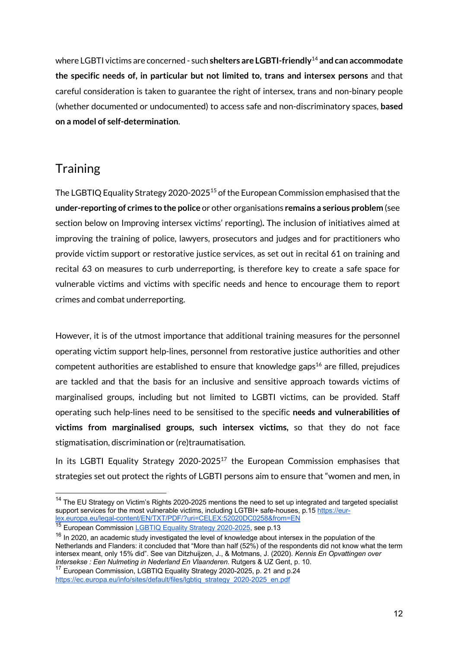where LGBTI victims are concerned - such **shelters are LGBTI-friendly**<sup>14</sup> **and can accommodate the specific needs of, in particular but not limited to, trans and intersex persons** and that careful consideration is taken to guarantee the right of intersex, trans and non-binary people (whether documented or undocumented) to access safe and non-discriminatory spaces, **based on a model of self-determination**.

# **Training**

The LGBTIQ Equality Strategy 2020-2025<sup>15</sup> of the European Commission emphasised that the **under-reporting of crimes to the police** or other organisations **remains a serious problem** (see section below on Improving intersex victims' reporting)**.** The inclusion of initiatives aimed at improving the training of police, lawyers, prosecutors and judges and for practitioners who provide victim support or restorative justice services, as set out in recital 61 on training and recital 63 on measures to curb underreporting, is therefore key to create a safe space for vulnerable victims and victims with specific needs and hence to encourage them to report crimes and combat underreporting.

However, it is of the utmost importance that additional training measures for the personnel operating victim support help-lines, personnel from restorative justice authorities and other competent authorities are established to ensure that knowledge gaps<sup>16</sup> are filled, prejudices are tackled and that the basis for an inclusive and sensitive approach towards victims of marginalised groups, including but not limited to LGBTI victims, can be provided. Staff operating such help-lines need to be sensitised to the specific **needs and vulnerabilities of victims from marginalised groups, such intersex victims,** so that they do not face stigmatisation, discrimination or (re)traumatisation.

In its LGBTI Equality Strategy 2020-2025<sup>17</sup> the European Commission emphasises that strategies set out protect the rights of LGBTI persons aim to ensure that "women and men, in

<sup>&</sup>lt;sup>14</sup> The EU Strategy on Victim's Rights 2020-2025 mentions the need to set up integrated and targeted specialist support services for the most vulnerable victims, including LGTBI+ safe-houses, p.15 https://eur-<br>lex.europa.eu/legal-content/EN/TXT/PDF/?uri=CELEX:52020DC0258&from=EN

<sup>15</sup> European Commission LGBTIQ Equality Strategy 2020-2025, see p.13

 $16$  In 2020, an academic study investigated the level of knowledge about intersex in the population of the Netherlands and Flanders: it concluded that "More than half (52%) of the respondents did not know what the term intersex meant, only 15% did". See van Ditzhuijzen, J., & Motmans, J. (2020). *Kennis En Opvattingen over Intersekse : Een Nulmeting in Nederland En Vlaanderen*. Rutgers & UZ Gent, p. 10.

<sup>&</sup>lt;sup>17</sup> European Commission, LGBTIQ Equality Strategy 2020-2025, p. 21 and p.24 https://ec.europa.eu/info/sites/default/files/lgbtiq\_strategy\_2020-2025\_en.pdf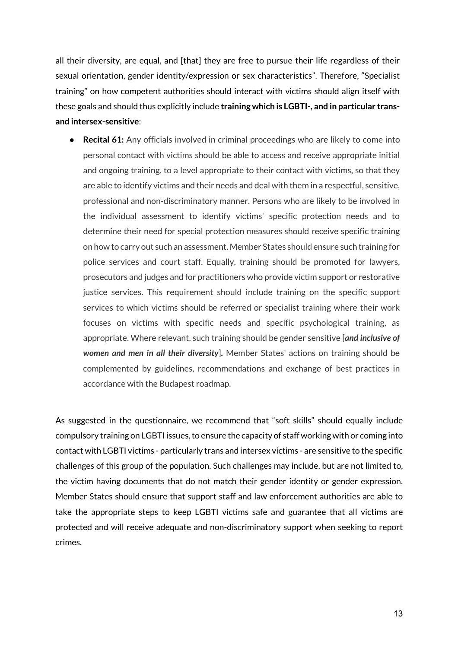all their diversity, are equal, and [that] they are free to pursue their life regardless of their sexual orientation, gender identity/expression or sex characteristics". Therefore, "Specialist training" on how competent authorities should interact with victims should align itself with these goals and should thus explicitly include **training which is LGBTI-, and in particular transand intersex-sensitive**:

● **Recital 61:** Any officials involved in criminal proceedings who are likely to come into personal contact with victims should be able to access and receive appropriate initial and ongoing training, to a level appropriate to their contact with victims, so that they are able to identify victims and their needs and deal with them in a respectful, sensitive, professional and non-discriminatory manner. Persons who are likely to be involved in the individual assessment to identify victims' specific protection needs and to determine their need for special protection measures should receive specific training on how to carry out such an assessment. Member States should ensure such training for police services and court staff. Equally, training should be promoted for lawyers, prosecutors and judges and for practitioners who provide victim support or restorative justice services. This requirement should include training on the specific support services to which victims should be referred or specialist training where their work focuses on victims with specific needs and specific psychological training, as appropriate. Where relevant, such training should be gender sensitive [*and inclusive of women and men in all their diversity*]*.* Member States' actions on training should be complemented by guidelines, recommendations and exchange of best practices in accordance with the Budapest roadmap.

As suggested in the questionnaire, we recommend that "soft skills" should equally include compulsory training on LGBTI issues, to ensure the capacity of staff working with or coming into contact with LGBTI victims - particularly trans and intersex victims - are sensitive to the specific challenges of this group of the population. Such challenges may include, but are not limited to, the victim having documents that do not match their gender identity or gender expression. Member States should ensure that support staff and law enforcement authorities are able to take the appropriate steps to keep LGBTI victims safe and guarantee that all victims are protected and will receive adequate and non-discriminatory support when seeking to report crimes.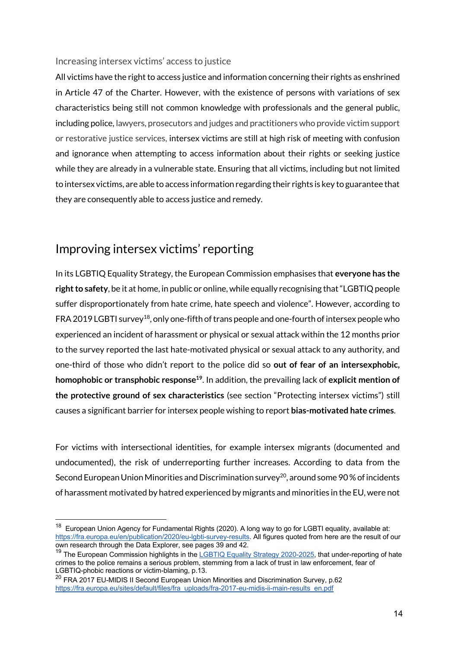#### Increasing intersex victims' access to justice

All victims have the right to access justice and information concerning their rights as enshrined in Article 47 of the Charter. However, with the existence of persons with variations of sex characteristics being still not common knowledge with professionals and the general public, including police, lawyers, prosecutors and judges and practitioners who provide victim support or restorative justice services, intersex victims are still at high risk of meeting with confusion and ignorance when attempting to access information about their rights or seeking justice while they are already in a vulnerable state. Ensuring that all victims, including but not limited to intersex victims, are able to access information regarding their rights is key to guarantee that they are consequently able to access justice and remedy.

# Improving intersex victims' reporting

In its LGBTIQ Equality Strategy, the European Commission emphasises that **everyone has the right to safety**, be it at home, in public or online, while equally recognising that "LGBTIQ people suffer disproportionately from hate crime, hate speech and violence". However, according to FRA 2019 LGBTI survey<sup>18</sup>, only one-fifth of trans people and one-fourth of intersex people who experienced an incident of harassment or physical or sexual attack within the 12 months prior to the survey reported the last hate-motivated physical or sexual attack to any authority, and one-third of those who didn't report to the police did so **out of fear of an intersexphobic, homophobic or transphobic response19**. In addition, the prevailing lack of **explicit mention of the protective ground of sex characteristics** (see section "Protecting intersex victims") still causes a significant barrier for intersex people wishing to report **bias-motivated hate crimes**.

For victims with intersectional identities, for example intersex migrants (documented and undocumented), the risk of underreporting further increases. According to data from the Second European Union Minorities and Discrimination survey<sup>20</sup>, around some 90 % of incidents of harassment motivated by hatred experienced by migrants and minorities in the EU, were not

<sup>&</sup>lt;sup>18</sup> European Union Agency for Fundamental Rights (2020). A long way to go for LGBTI equality, available at: https://fra.europa.eu/en/publication/2020/eu-lgbti-survey-results. All figures quoted from here are the result of our own research through the Data Explorer, see pages 39 and 42.

<sup>&</sup>lt;sup>19</sup> The European Commission highlights in the *LGBTIQ Equality Strategy 2020-2025*, that under-reporting of hate crimes to the police remains a serious problem, stemming from a lack of trust in law enforcement, fear of LGBTIQ-phobic reactions or victim-blaming, p.13.

<sup>&</sup>lt;sup>20</sup> FRA 2017 EU-MIDIS II Second European Union Minorities and Discrimination Survey, p.62 https://fra.europa.eu/sites/default/files/fra\_uploads/fra-2017-eu-midis-ii-main-results\_en.pdf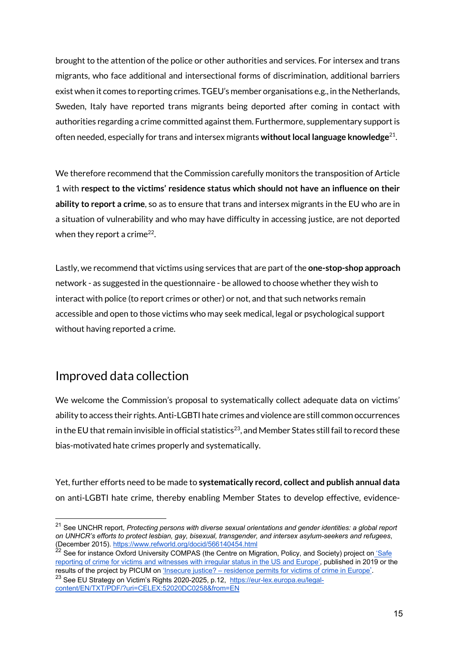brought to the attention of the police or other authorities and services. For intersex and trans migrants, who face additional and intersectional forms of discrimination, additional barriers exist when it comes to reporting crimes. TGEU's member organisations e.g., in the Netherlands, Sweden, Italy have reported trans migrants being deported after coming in contact with authorities regarding a crime committed against them. Furthermore, supplementary support is often needed, especially for trans and intersex migrants **without local language knowledge**21.

We therefore recommend that the Commission carefully monitors the transposition of Article 1 with **respect to the victims' residence status which should not have an influence on their ability to report a crime**, so as to ensure that trans and intersex migrants in the EU who are in a situation of vulnerability and who may have difficulty in accessing justice, are not deported when they report a crime<sup>22</sup>.

Lastly, we recommend that victims using services that are part of the **one-stop-shop approach**  network - as suggested in the questionnaire - be allowed to choose whether they wish to interact with police (to report crimes or other) or not, and that such networks remain accessible and open to those victims who may seek medical, legal or psychological support without having reported a crime.

# Improved data collection

We welcome the Commission's proposal to systematically collect adequate data on victims' ability to access their rights. Anti-LGBTI hate crimes and violence are still common occurrences in the EU that remain invisible in official statistics<sup>23</sup>, and Member States still fail to record these bias-motivated hate crimes properly and systematically.

Yet, further efforts need to be made to **systematically record, collect and publish annual data** on anti-LGBTI hate crime, thereby enabling Member States to develop effective, evidence-

<sup>21</sup> See UNCHR report, *Protecting persons with diverse sexual orientations and gender identities: a global report on UNHCR's efforts to protect lesbian, gay, bisexual, transgender, and intersex asylum-seekers and refugees*, (December 2015). https://www.refworld.org/docid/566140454.html

<sup>&</sup>lt;sup>22</sup> See for instance Oxford University COMPAS (the Centre on Migration, Policy, and Society) project on Safe reporting of crime for victims and witnesses with irregular status in the US and Europe', published in 2019 or the results of the project by PICUM on <u>'Insecure justice? – residence permits for victims of crime in Europe'</u>

<sup>&</sup>lt;sup>23</sup> See EU Strategy on Victim's Rights 2020-2025, p.12, https://eur-lex.europa.eu/legalcontent/EN/TXT/PDF/?uri=CELEX:52020DC0258&from=EN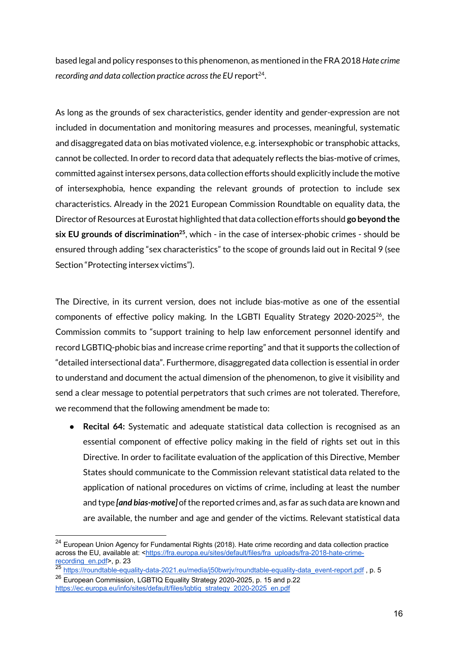based legal and policy responses to this phenomenon, as mentioned in the FRA 2018 *Hate crime recording and data collection practice across the EU report*<sup>24</sup>.

As long as the grounds of sex characteristics, gender identity and gender-expression are not included in documentation and monitoring measures and processes, meaningful, systematic and disaggregated data on bias motivated violence, e.g. intersexphobic or transphobic attacks, cannot be collected. In order to record data that adequately reflects the bias-motive of crimes, committed against intersex persons, data collection efforts should explicitly include the motive of intersexphobia, hence expanding the relevant grounds of protection to include sex characteristics. Already in the 2021 European Commission Roundtable on equality data, the Director of Resources at Eurostat highlighted that data collection efforts should **go beyond the**  six EU grounds of discrimination<sup>25</sup>, which - in the case of intersex-phobic crimes - should be ensured through adding "sex characteristics" to the scope of grounds laid out in Recital 9 (see Section "Protecting intersex victims").

The Directive, in its current version, does not include bias-motive as one of the essential components of effective policy making. In the LGBTI Equality Strategy 2020-202526, the Commission commits to "support training to help law enforcement personnel identify and record LGBTIQ-phobic bias and increase crime reporting" and that it supports the collection of "detailed intersectional data". Furthermore, disaggregated data collection is essential in order to understand and document the actual dimension of the phenomenon, to give it visibility and send a clear message to potential perpetrators that such crimes are not tolerated. Therefore, we recommend that the following amendment be made to:

● **Recital 64:** Systematic and adequate statistical data collection is recognised as an essential component of effective policy making in the field of rights set out in this Directive. In order to facilitate evaluation of the application of this Directive, Member States should communicate to the Commission relevant statistical data related to the application of national procedures on victims of crime, including at least the number and type *[and bias-motive]* of the reported crimes and, as far as such data are known and are available, the number and age and gender of the victims. Relevant statistical data

<sup>&</sup>lt;sup>24</sup> European Union Agency for Fundamental Rights (2018). Hate crime recording and data collection practice across the EU, available at: <https://fra.europa.eu/sites/default/files/fra\_uploads/fra-2018-hate-crimerecording\_en.pdf>, p. 23

<sup>25</sup> https://roundtable-equality-data-2021.eu/media/j50bwrjv/roundtable-equality-data\_event-report.pdf , p. 5

<sup>&</sup>lt;sup>26</sup> European Commission, LGBTIQ Equality Strategy 2020-2025, p. 15 and p.22 https://ec.europa.eu/info/sites/default/files/lgbtiq\_strategy\_2020-2025\_en.pdf